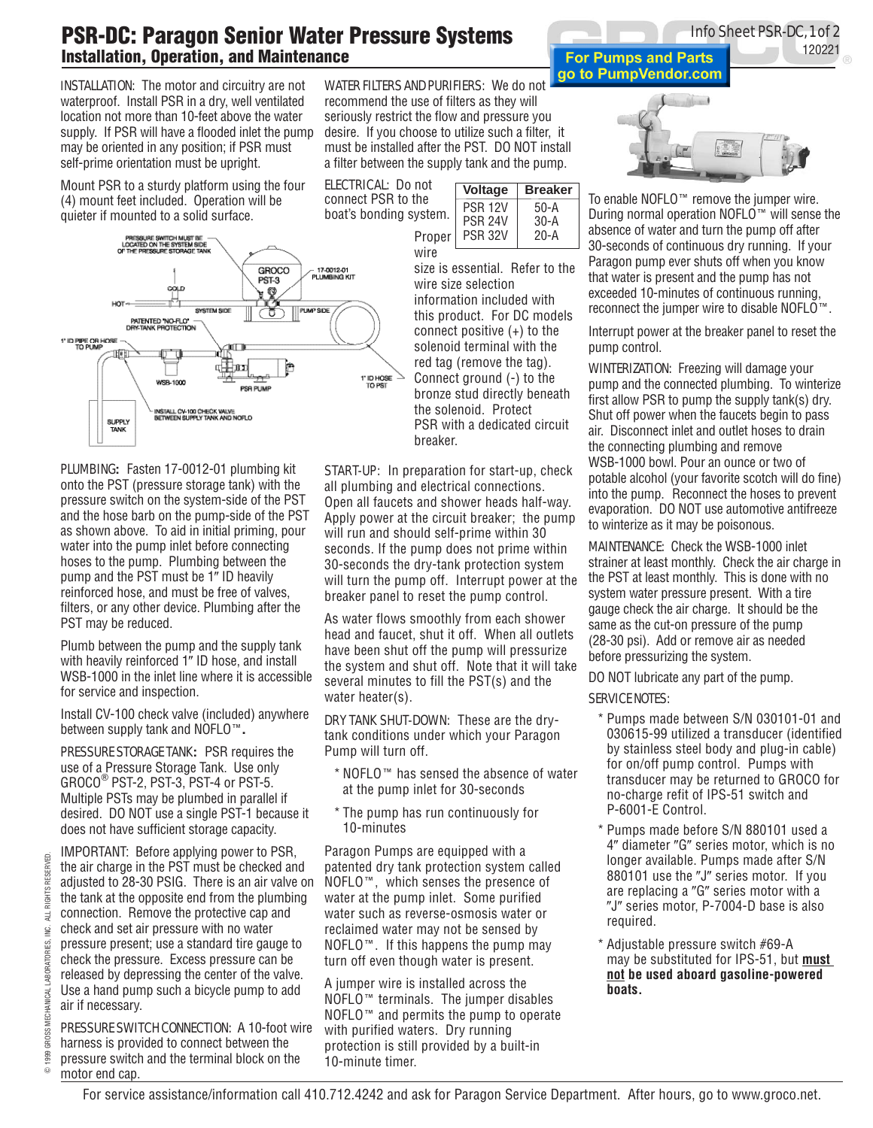## PSR-DC: Paragon Senior Water Pressure Systems Installation, Operation, and Maintenance

**INSTALLATION:** The motor and circuitry are not waterproof. Install PSR in a dry, well ventilated location not more than 10-feet above the water supply. If PSR will have a flooded inlet the pump may be oriented in any position; if PSR must self-prime orientation must be upright.

Mount PSR to a sturdy platform using the four (4) mount feet included. Operation will be quieter if mounted to a solid surface.



Plumbing**:** Fasten 17-0012-01 plumbing kit onto the PST (pressure storage tank) with the pressure switch on the system-side of the PST and the hose barb on the pump-side of the PST as shown above. To aid in initial priming, pour water into the pump inlet before connecting hoses to the pump. Plumbing between the pump and the PST must be 1" ID heavily reinforced hose, and must be free of valves, filters, or any other device. Plumbing after the PST may be reduced.

Plumb between the pump and the supply tank with heavily reinforced 1" ID hose, and install WSB-1000 in the inlet line where it is accessible for service and inspection.

Install CV-100 check valve (included) anywhere between supply tank and NOFLO**.**

PRESSURE STORAGE TANK**:** PSR requires the use of a Pressure Storage Tank. Use only  $GROCO^{\circledcirc}$  PST-2, PST-3, PST-4 or PST-5. Multiple PSTs may be plumbed in parallel if desired. DO NOT use a single PST-1 because it does not have sufficient storage capacity.

IMPORTANT: Before applying power to PSR, the air charge in the PST must be checked and adjusted to 28-30 PSIG. There is an air valve on the tank at the opposite end from the plumbing connection. Remove the protective cap and check and set air pressure with no water pressure present; use a standard tire gauge to check the pressure. Excess pressure can be released by depressing the center of the valve. Use a hand pump such a bicycle pump to add air if necessary.

PRESSURE SWITCH CONNECTION: A 10-foot wire harness is provided to connect between the pressure switch and the terminal block on the motor end cap.

Water Filters and Purifiers:We do not recommend the use of filters as they will seriously restrict the flow and pressure you desire. If you choose to utilize such a filter, it must be installed after the PST. DO NOT install a filter between the supply tank and the pump.

**ELECTRICAL:** Do not connect PSR to the boat's bonding system.



size is essential. Refer to the wire size selection information included with this product. For DC models connect positive (+) to the solenoid terminal with the red tag (remove the tag). Connect ground (-) to the bronze stud directly beneath the solenoid. Protect PSR with a dedicated circuit breaker.

**START-UP:** In preparation for start-up, check all plumbing and electrical connections. Open all faucets and shower heads half-way. Apply power at the circuit breaker; the pump will run and should self-prime within 30 seconds. If the pump does not prime within 30-seconds the dry-tank protection system will turn the pump off. Interrupt power at the breaker panel to reset the pump control.

As water flows smoothly from each shower head and faucet, shut it off. When all outlets have been shut off the pump will pressurize the system and shut off. Note that it will take several minutes to fill the PST(s) and the water heater(s).

DRY TANK SHUT-DOWN: These are the drytank conditions under which your Paragon Pump will turn off.

- $*$  NOFLO $*$  has sensed the absence of water at the pump inlet for 30-seconds
- \* The pump has run continuously for 10-minutes

Paragon Pumps are equipped with a patented dry tank protection system called  $NOFLO^{\pi}$ , which senses the presence of water at the pump inlet. Some purified water such as reverse-osmosis water or reclaimed water may not be sensed by NOFLO $\cdot$ . If this happens the pump may turn off even though water is present.

A jumper wire is installed across the  $NOFLO<sup>TM</sup>$  terminals. The jumper disables  $NOFLO<sup>TM</sup>$  and permits the pump to operate with purified waters. Dry running protection is still provided by a built-in 10-minute timer.





To enable NOFLO<sup>™</sup> remove the jumper wire. During normal operation NOFLO $\mathbb{W}$  will sense the absence of water and turn the pump off after 30-seconds of continuous dry running. If your Paragon pump ever shuts off when you know that water is present and the pump has not exceeded 10-minutes of continuous running, reconnect the jumper wire to disable NOFLO™.

Interrupt power at the breaker panel to reset the pump control.

**WINTERIZATION:** Freezing will damage your pump and the connected plumbing. To winterize first allow PSR to pump the supply tank(s) dry. Shut off power when the faucets begin to pass air. Disconnect inlet and outlet hoses to drain the connecting plumbing and remove WSB-1000 bowl. Pour an ounce or two of potable alcohol (your favorite scotch will do fine) into the pump. Reconnect the hoses to prevent evaporation. DO NOT use automotive antifreeze to winterize as it may be poisonous.

Maintenance:Check the WSB-1000 inlet strainer at least monthly. Check the air charge in the PST at least monthly. This is done with no system water pressure present. With a tire gauge check the air charge. It should be the same as the cut-on pressure of the pump (28-30 psi). Add or remove air as needed before pressurizing the system.

DO NOT lubricate any part of the pump.

## **SERVICE NOTES:**

- \* Pumps made between S/N 030101-01 and 030615-99 utilized a transducer (identified by stainless steel body and plug-in cable) for on/off pump control. Pumps with transducer may be returned to GROCO for no-charge refit of IPS-51 switch and P-6001-E Control.
- \* Pumps made before S/N 880101 used a 4" diameter "G" series motor, which is no longer available. Pumps made after S/N 880101 use the "J" series motor. If you are replacing a "G" series motor with a "J" series motor, P-7004-D base is also required.
- \* Adjustable pressure switch #69-A may be substituted for IPS-51, but **must not be used aboard gasoline-powered boats.**

O

For service assistance/information call 410.712.4242 and ask for Paragon Service Department. After hours, go to www.groco.net.